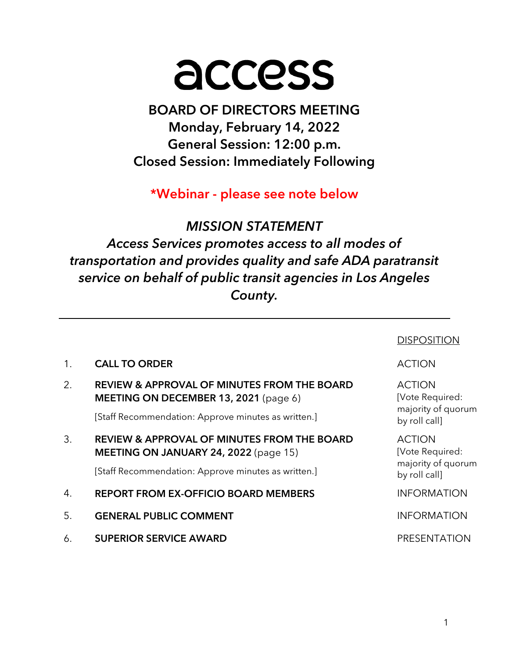# access

# BOARD OF DIRECTORS MEETING Monday, February 14, 2022 General Session: 12:00 p.m. Closed Session: Immediately Following

\*Webinar - please see note below

# MISSION STATEMENT

Access Services promotes access to all modes of transportation and provides quality and safe ADA paratransit service on behalf of public transit agencies in Los Angeles County.

|    |                                                                                                                                                        | <b>DISPOSITION</b>                                                      |
|----|--------------------------------------------------------------------------------------------------------------------------------------------------------|-------------------------------------------------------------------------|
| 1. | <b>CALL TO ORDER</b>                                                                                                                                   | <b>ACTION</b>                                                           |
| 2. | <b>REVIEW &amp; APPROVAL OF MINUTES FROM THE BOARD</b><br>MEETING ON DECEMBER 13, 2021 (page 6)<br>[Staff Recommendation: Approve minutes as written.] | <b>ACTION</b><br>[Vote Required:<br>majority of quorum<br>by roll call] |
| 3. | <b>REVIEW &amp; APPROVAL OF MINUTES FROM THE BOARD</b><br>MEETING ON JANUARY 24, 2022 (page 15)<br>[Staff Recommendation: Approve minutes as written.] | <b>ACTION</b><br>[Vote Required:<br>majority of quorum<br>by roll call] |
| 4. | <b>REPORT FROM EX-OFFICIO BOARD MEMBERS</b>                                                                                                            | <b>INFORMATION</b>                                                      |
| 5. | <b>GENERAL PUBLIC COMMENT</b>                                                                                                                          | <b>INFORMATION</b>                                                      |
| 6. | <b>SUPERIOR SERVICE AWARD</b>                                                                                                                          | <b>PRESENTATION</b>                                                     |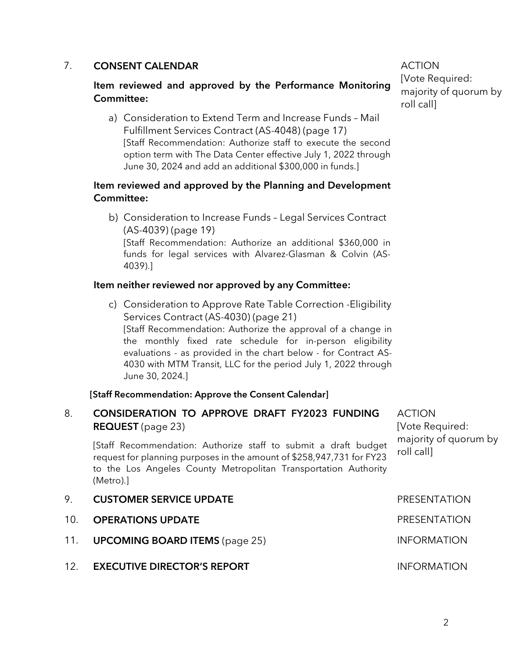#### 7. CONSENT CALENDAR

#### Item reviewed and approved by the Performance Monitoring Committee:

a) Consideration to Extend Term and Increase Funds – Mail Fulfillment Services Contract (AS-4048) (page 17) [Staff Recommendation: Authorize staff to execute the second option term with The Data Center effective July 1, 2022 through June 30, 2024 and add an additional \$300,000 in funds.]

#### Item reviewed and approved by the Planning and Development Committee:

b) Consideration to Increase Funds – Legal Services Contract (AS-4039) (page 19) [Staff Recommendation: Authorize an additional \$360,000 in funds for legal services with Alvarez-Glasman & Colvin (AS-4039).]

#### Item neither reviewed nor approved by any Committee:

c) Consideration to Approve Rate Table Correction -Eligibility Services Contract (AS-4030) (page 21) [Staff Recommendation: Authorize the approval of a change in the monthly fixed rate schedule for in-person eligibility evaluations - as provided in the chart below - for Contract AS-4030 with MTM Transit, LLC for the period July 1, 2022 through June 30, 2024.]

#### [Staff Recommendation: Approve the Consent Calendar]

#### 8. CONSIDERATION TO APPROVE DRAFT FY2023 FUNDING REQUEST (page 23)

[Staff Recommendation: Authorize staff to submit a draft budget request for planning purposes in the amount of \$258,947,731 for FY23 to the Los Angeles County Metropolitan Transportation Authority (Metro).]

- roll call] 9. CUSTOMER SERVICE UPDATE **A CUSTOMER SERVICE UPDATE** 10. **OPERATIONS UPDATE Example 20 and 20 and 20 and 20 and 20 and 20 and 20 and 20 and 20 and 20 and 20 and 20 and 20 and 20 and 20 and 20 and 20 and 20 and 20 and 20 and 20 and 20 and 20 and 20 and 20 and 20 and 20 and** 11. **UPCOMING BOARD ITEMS** (page 25) INFORMATION
- 12. **EXECUTIVE DIRECTOR'S REPORT INFORMATION**

ACTION [Vote Required: majority of quorum by roll call]

ACTION [Vote Required: majority of quorum by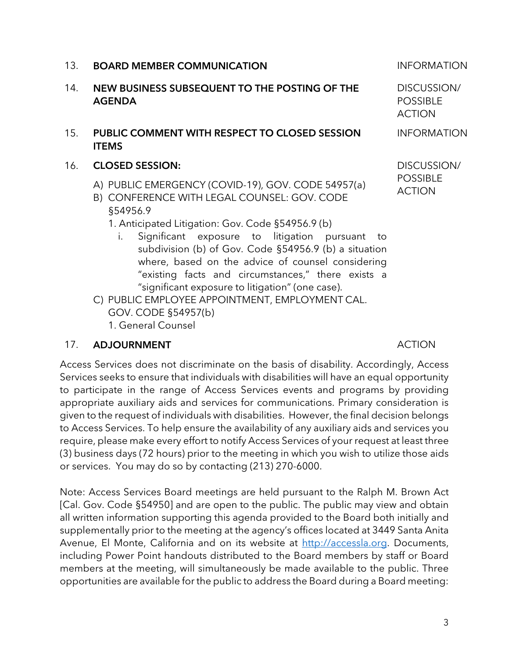#### 13. **BOARD MEMBER COMMUNICATION INFORMATION**

- 14. NEW BUSINESS SUBSEQUENT TO THE POSTING OF THE AGENDA
- 15. PUBLIC COMMENT WITH RESPECT TO CLOSED SESSION ITEMS
- 16. CLOSED SESSION:
	- A) PUBLIC EMERGENCY (COVID-19), GOV. CODE 54957(a)
	- B) CONFERENCE WITH LEGAL COUNSEL: GOV. CODE §54956.9
		- 1. Anticipated Litigation: Gov. Code §54956.9 (b)
			- i. Significant exposure to litigation pursuant to subdivision (b) of Gov. Code §54956.9 (b) a situation where, based on the advice of counsel considering "existing facts and circumstances," there exists a "significant exposure to litigation" (one case).
	- C) PUBLIC EMPLOYEE APPOINTMENT, EMPLOYMENT CAL. GOV. CODE §54957(b) 1. General Counsel

#### 17. ADJOURNMENT ACTION

Access Services does not discriminate on the basis of disability. Accordingly, Access Services seeks to ensure that individuals with disabilities will have an equal opportunity to participate in the range of Access Services events and programs by providing appropriate auxiliary aids and services for communications. Primary consideration is given to the request of individuals with disabilities. However, the final decision belongs to Access Services. To help ensure the availability of any auxiliary aids and services you require, please make every effort to notify Access Services of your request at least three (3) business days (72 hours) prior to the meeting in which you wish to utilize those aids or services. You may do so by contacting (213) 270-6000.

Note: Access Services Board meetings are held pursuant to the Ralph M. Brown Act [Cal. Gov. Code §54950] and are open to the public. The public may view and obtain all written information supporting this agenda provided to the Board both initially and supplementally prior to the meeting at the agency's offices located at 3449 Santa Anita Avenue, El Monte, California and on its website at http://accessla.org. Documents, including Power Point handouts distributed to the Board members by staff or Board members at the meeting, will simultaneously be made available to the public. Three opportunities are available for the public to address the Board during a Board meeting:

DISCUSSION/ POSSIBLE ACTION

INFORMATION

DISCUSSION/ POSSIBLE ACTION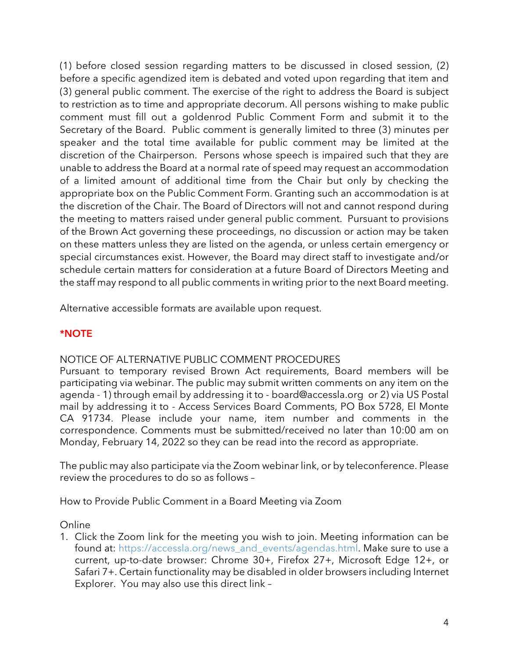(1) before closed session regarding matters to be discussed in closed session, (2) before a specific agendized item is debated and voted upon regarding that item and (3) general public comment. The exercise of the right to address the Board is subject to restriction as to time and appropriate decorum. All persons wishing to make public comment must fill out a goldenrod Public Comment Form and submit it to the Secretary of the Board. Public comment is generally limited to three (3) minutes per speaker and the total time available for public comment may be limited at the discretion of the Chairperson. Persons whose speech is impaired such that they are unable to address the Board at a normal rate of speed may request an accommodation of a limited amount of additional time from the Chair but only by checking the appropriate box on the Public Comment Form. Granting such an accommodation is at the discretion of the Chair. The Board of Directors will not and cannot respond during the meeting to matters raised under general public comment. Pursuant to provisions of the Brown Act governing these proceedings, no discussion or action may be taken on these matters unless they are listed on the agenda, or unless certain emergency or special circumstances exist. However, the Board may direct staff to investigate and/or schedule certain matters for consideration at a future Board of Directors Meeting and the staff may respond to all public comments in writing prior to the next Board meeting.

Alternative accessible formats are available upon request.

#### \*NOTE

#### NOTICE OF ALTERNATIVE PUBLIC COMMENT PROCEDURES

Pursuant to temporary revised Brown Act requirements, Board members will be participating via webinar. The public may submit written comments on any item on the agenda - 1) through email by addressing it to - board@accessla.org or 2) via US Postal mail by addressing it to - Access Services Board Comments, PO Box 5728, El Monte CA 91734. Please include your name, item number and comments in the correspondence. Comments must be submitted/received no later than 10:00 am on Monday, February 14, 2022 so they can be read into the record as appropriate.

The public may also participate via the Zoom webinar link, or by teleconference. Please review the procedures to do so as follows –

How to Provide Public Comment in a Board Meeting via Zoom

#### **Online**

1. Click the Zoom link for the meeting you wish to join. Meeting information can be found at: https://accessla.org/news\_and\_events/agendas.html. Make sure to use a current, up-to-date browser: Chrome 30+, Firefox 27+, Microsoft Edge 12+, or Safari 7+. Certain functionality may be disabled in older browsers including Internet Explorer. You may also use this direct link –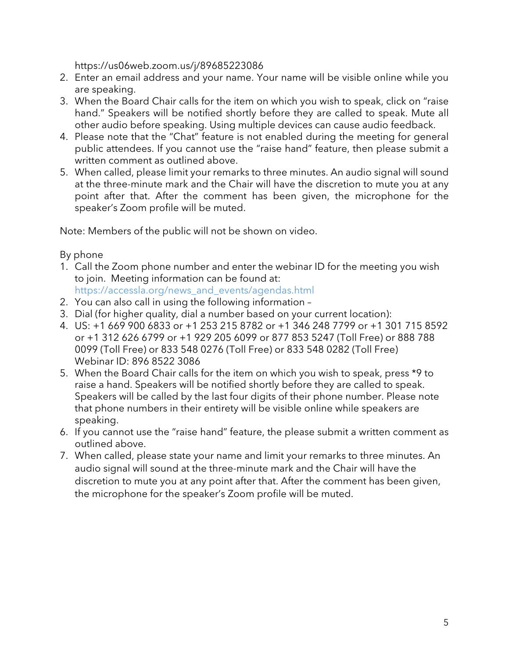https://us06web.zoom.us/j/89685223086

- 2. Enter an email address and your name. Your name will be visible online while you are speaking.
- 3. When the Board Chair calls for the item on which you wish to speak, click on "raise hand." Speakers will be notified shortly before they are called to speak. Mute all other audio before speaking. Using multiple devices can cause audio feedback.
- 4. Please note that the "Chat" feature is not enabled during the meeting for general public attendees. If you cannot use the "raise hand" feature, then please submit a written comment as outlined above.
- 5. When called, please limit your remarks to three minutes. An audio signal will sound at the three-minute mark and the Chair will have the discretion to mute you at any point after that. After the comment has been given, the microphone for the speaker's Zoom profile will be muted.

Note: Members of the public will not be shown on video.

By phone

- 1. Call the Zoom phone number and enter the webinar ID for the meeting you wish to join. Meeting information can be found at: https://accessla.org/news\_and\_events/agendas.html
- 2. You can also call in using the following information –
- 3. Dial (for higher quality, dial a number based on your current location):
- 4. US: +1 669 900 6833 or +1 253 215 8782 or +1 346 248 7799 or +1 301 715 8592 or +1 312 626 6799 or +1 929 205 6099 or 877 853 5247 (Toll Free) or 888 788 0099 (Toll Free) or 833 548 0276 (Toll Free) or 833 548 0282 (Toll Free) Webinar ID: 896 8522 3086
- 5. When the Board Chair calls for the item on which you wish to speak, press \*9 to raise a hand. Speakers will be notified shortly before they are called to speak. Speakers will be called by the last four digits of their phone number. Please note that phone numbers in their entirety will be visible online while speakers are speaking.
- 6. If you cannot use the "raise hand" feature, the please submit a written comment as outlined above.
- 7. When called, please state your name and limit your remarks to three minutes. An audio signal will sound at the three-minute mark and the Chair will have the discretion to mute you at any point after that. After the comment has been given, the microphone for the speaker's Zoom profile will be muted.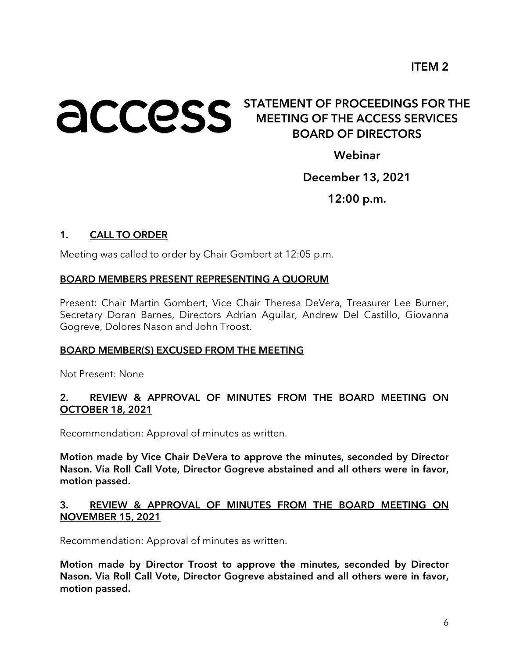## **ACCESS** STATEMENT OF PROCEEDINGS FOR THE MEETING OF THE ACCESS SERVICES BOARD OF DIRECTORS

Webinar

#### December 13, 2021

12:00 p.m.

#### 1. CALL TO ORDER

Meeting was called to order by Chair Gombert at 12:05 p.m.

#### BOARD MEMBERS PRESENT REPRESENTING A QUORUM

Present: Chair Martin Gombert, Vice Chair Theresa DeVera, Treasurer Lee Burner, Secretary Doran Barnes, Directors Adrian Aguilar, Andrew Del Castillo, Giovanna Gogreve, Dolores Nason and John Troost.

#### BOARD MEMBER(S) EXCUSED FROM THE MEETING

Not Present: None

#### 2. REVIEW & APPROVAL OF MINUTES FROM THE BOARD MEETING ON OCTOBER 18, 2021

Recommendation: Approval of minutes as written.

Motion made by Vice Chair DeVera to approve the minutes, seconded by Director Nason. Via Roll Call Vote, Director Gogreve abstained and all others were in favor, motion passed.

#### 3. REVIEW & APPROVAL OF MINUTES FROM THE BOARD MEETING ON NOVEMBER 15, 2021

Recommendation: Approval of minutes as written.

Motion made by Director Troost to approve the minutes, seconded by Director Nason. Via Roll Call Vote, Director Gogreve abstained and all others were in favor, motion passed.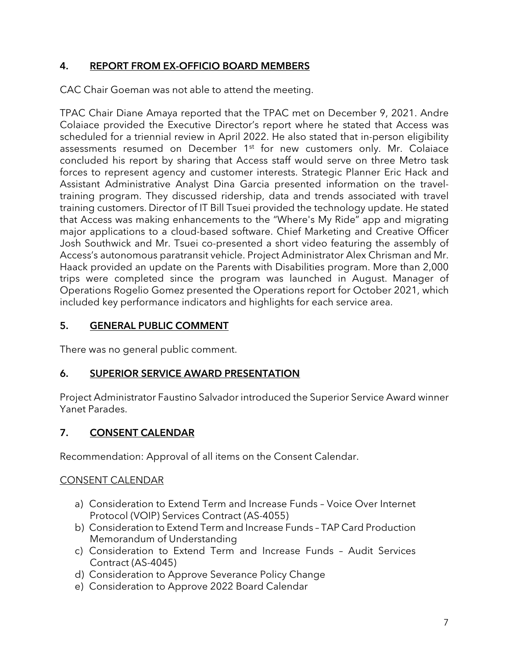#### 4. REPORT FROM EX-OFFICIO BOARD MEMBERS

CAC Chair Goeman was not able to attend the meeting.

TPAC Chair Diane Amaya reported that the TPAC met on December 9, 2021. Andre Colaiace provided the Executive Director's report where he stated that Access was scheduled for a triennial review in April 2022. He also stated that in-person eligibility assessments resumed on December 1<sup>st</sup> for new customers only. Mr. Colaiace concluded his report by sharing that Access staff would serve on three Metro task forces to represent agency and customer interests. Strategic Planner Eric Hack and Assistant Administrative Analyst Dina Garcia presented information on the traveltraining program. They discussed ridership, data and trends associated with travel training customers. Director of IT Bill Tsuei provided the technology update. He stated that Access was making enhancements to the "Where's My Ride" app and migrating major applications to a cloud-based software. Chief Marketing and Creative Officer Josh Southwick and Mr. Tsuei co-presented a short video featuring the assembly of Access's autonomous paratransit vehicle. Project Administrator Alex Chrisman and Mr. Haack provided an update on the Parents with Disabilities program. More than 2,000 trips were completed since the program was launched in August. Manager of Operations Rogelio Gomez presented the Operations report for October 2021, which included key performance indicators and highlights for each service area.

#### 5. GENERAL PUBLIC COMMENT

There was no general public comment.

#### 6. SUPERIOR SERVICE AWARD PRESENTATION

Project Administrator Faustino Salvador introduced the Superior Service Award winner Yanet Parades.

#### 7. CONSENT CALENDAR

Recommendation: Approval of all items on the Consent Calendar.

#### CONSENT CALENDAR

- a) Consideration to Extend Term and Increase Funds Voice Over Internet Protocol (VOIP) Services Contract (AS-4055)
- b) Consideration to Extend Term and Increase Funds TAP Card Production Memorandum of Understanding
- c) Consideration to Extend Term and Increase Funds Audit Services Contract (AS-4045)
- d) Consideration to Approve Severance Policy Change
- e) Consideration to Approve 2022 Board Calendar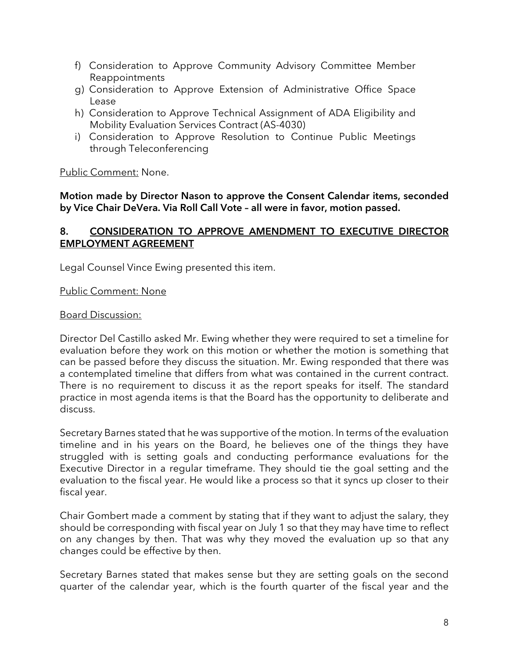- f) Consideration to Approve Community Advisory Committee Member Reappointments
- g) Consideration to Approve Extension of Administrative Office Space Lease
- h) Consideration to Approve Technical Assignment of ADA Eligibility and Mobility Evaluation Services Contract (AS-4030)
- i) Consideration to Approve Resolution to Continue Public Meetings through Teleconferencing

Public Comment: None.

Motion made by Director Nason to approve the Consent Calendar items, seconded by Vice Chair DeVera. Via Roll Call Vote – all were in favor, motion passed.

#### 8. CONSIDERATION TO APPROVE AMENDMENT TO EXECUTIVE DIRECTOR EMPLOYMENT AGREEMENT

Legal Counsel Vince Ewing presented this item.

#### Public Comment: None

#### Board Discussion:

Director Del Castillo asked Mr. Ewing whether they were required to set a timeline for evaluation before they work on this motion or whether the motion is something that can be passed before they discuss the situation. Mr. Ewing responded that there was a contemplated timeline that differs from what was contained in the current contract. There is no requirement to discuss it as the report speaks for itself. The standard practice in most agenda items is that the Board has the opportunity to deliberate and discuss.

Secretary Barnes stated that he was supportive of the motion. In terms of the evaluation timeline and in his years on the Board, he believes one of the things they have struggled with is setting goals and conducting performance evaluations for the Executive Director in a regular timeframe. They should tie the goal setting and the evaluation to the fiscal year. He would like a process so that it syncs up closer to their fiscal year.

Chair Gombert made a comment by stating that if they want to adjust the salary, they should be corresponding with fiscal year on July 1 so that they may have time to reflect on any changes by then. That was why they moved the evaluation up so that any changes could be effective by then.

Secretary Barnes stated that makes sense but they are setting goals on the second quarter of the calendar year, which is the fourth quarter of the fiscal year and the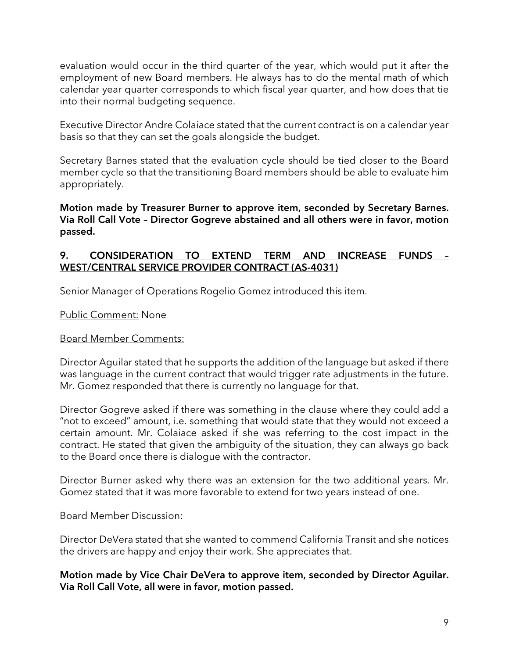evaluation would occur in the third quarter of the year, which would put it after the employment of new Board members. He always has to do the mental math of which calendar year quarter corresponds to which fiscal year quarter, and how does that tie into their normal budgeting sequence.

Executive Director Andre Colaiace stated that the current contract is on a calendar year basis so that they can set the goals alongside the budget.

Secretary Barnes stated that the evaluation cycle should be tied closer to the Board member cycle so that the transitioning Board members should be able to evaluate him appropriately.

Motion made by Treasurer Burner to approve item, seconded by Secretary Barnes. Via Roll Call Vote – Director Gogreve abstained and all others were in favor, motion passed.

#### 9. CONSIDERATION TO EXTEND TERM AND INCREASE FUNDS – WEST/CENTRAL SERVICE PROVIDER CONTRACT (AS-4031)

Senior Manager of Operations Rogelio Gomez introduced this item.

Public Comment: None

#### Board Member Comments:

Director Aguilar stated that he supports the addition of the language but asked if there was language in the current contract that would trigger rate adjustments in the future. Mr. Gomez responded that there is currently no language for that.

Director Gogreve asked if there was something in the clause where they could add a "not to exceed" amount, i.e. something that would state that they would not exceed a certain amount. Mr. Colaiace asked if she was referring to the cost impact in the contract. He stated that given the ambiguity of the situation, they can always go back to the Board once there is dialogue with the contractor.

Director Burner asked why there was an extension for the two additional years. Mr. Gomez stated that it was more favorable to extend for two years instead of one.

#### Board Member Discussion:

Director DeVera stated that she wanted to commend California Transit and she notices the drivers are happy and enjoy their work. She appreciates that.

Motion made by Vice Chair DeVera to approve item, seconded by Director Aguilar. Via Roll Call Vote, all were in favor, motion passed.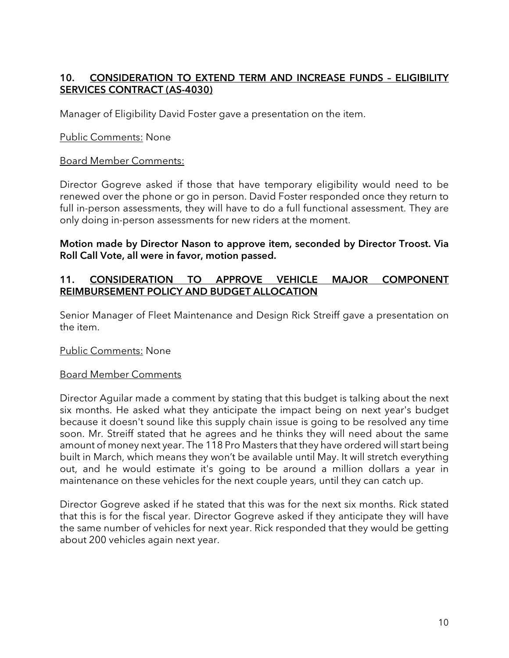#### 10. CONSIDERATION TO EXTEND TERM AND INCREASE FUNDS – ELIGIBILITY SERVICES CONTRACT (AS-4030)

Manager of Eligibility David Foster gave a presentation on the item.

#### Public Comments: None

#### Board Member Comments:

Director Gogreve asked if those that have temporary eligibility would need to be renewed over the phone or go in person. David Foster responded once they return to full in-person assessments, they will have to do a full functional assessment. They are only doing in-person assessments for new riders at the moment.

#### Motion made by Director Nason to approve item, seconded by Director Troost. Via Roll Call Vote, all were in favor, motion passed.

#### 11. CONSIDERATION TO APPROVE VEHICLE MAJOR COMPONENT REIMBURSEMENT POLICY AND BUDGET ALLOCATION

Senior Manager of Fleet Maintenance and Design Rick Streiff gave a presentation on the item.

#### Public Comments: None

#### Board Member Comments

Director Aguilar made a comment by stating that this budget is talking about the next six months. He asked what they anticipate the impact being on next year's budget because it doesn't sound like this supply chain issue is going to be resolved any time soon. Mr. Streiff stated that he agrees and he thinks they will need about the same amount of money next year. The 118 Pro Masters that they have ordered will start being built in March, which means they won't be available until May. It will stretch everything out, and he would estimate it's going to be around a million dollars a year in maintenance on these vehicles for the next couple years, until they can catch up.

Director Gogreve asked if he stated that this was for the next six months. Rick stated that this is for the fiscal year. Director Gogreve asked if they anticipate they will have the same number of vehicles for next year. Rick responded that they would be getting about 200 vehicles again next year.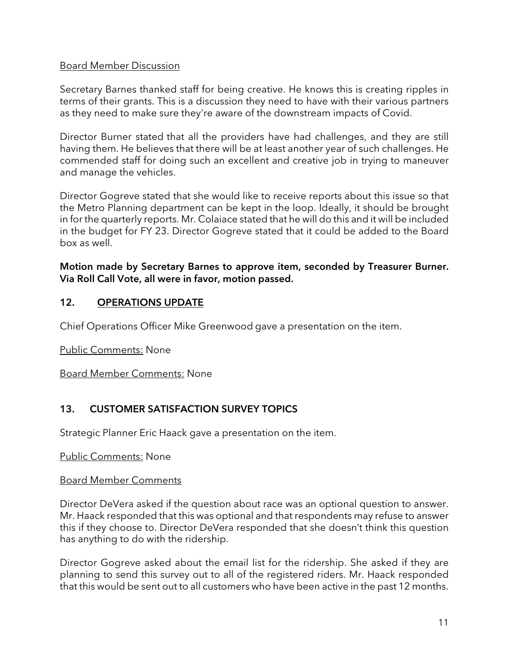#### Board Member Discussion

Secretary Barnes thanked staff for being creative. He knows this is creating ripples in terms of their grants. This is a discussion they need to have with their various partners as they need to make sure they're aware of the downstream impacts of Covid.

Director Burner stated that all the providers have had challenges, and they are still having them. He believes that there will be at least another year of such challenges. He commended staff for doing such an excellent and creative job in trying to maneuver and manage the vehicles.

Director Gogreve stated that she would like to receive reports about this issue so that the Metro Planning department can be kept in the loop. Ideally, it should be brought in for the quarterly reports. Mr. Colaiace stated that he will do this and it will be included in the budget for FY 23. Director Gogreve stated that it could be added to the Board box as well.

#### Motion made by Secretary Barnes to approve item, seconded by Treasurer Burner. Via Roll Call Vote, all were in favor, motion passed.

#### 12. OPERATIONS UPDATE

Chief Operations Officer Mike Greenwood gave a presentation on the item.

Public Comments: None

Board Member Comments: None

#### 13. CUSTOMER SATISFACTION SURVEY TOPICS

Strategic Planner Eric Haack gave a presentation on the item.

#### Public Comments: None

#### Board Member Comments

Director DeVera asked if the question about race was an optional question to answer. Mr. Haack responded that this was optional and that respondents may refuse to answer this if they choose to. Director DeVera responded that she doesn't think this question has anything to do with the ridership.

Director Gogreve asked about the email list for the ridership. She asked if they are planning to send this survey out to all of the registered riders. Mr. Haack responded that this would be sent out to all customers who have been active in the past 12 months.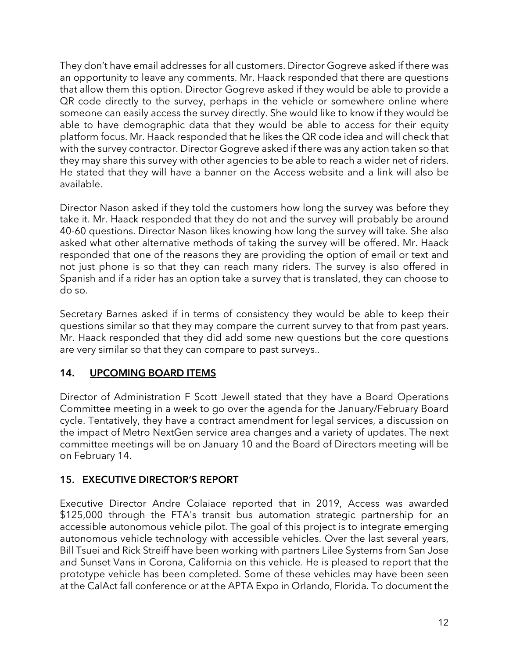They don't have email addresses for all customers. Director Gogreve asked if there was an opportunity to leave any comments. Mr. Haack responded that there are questions that allow them this option. Director Gogreve asked if they would be able to provide a QR code directly to the survey, perhaps in the vehicle or somewhere online where someone can easily access the survey directly. She would like to know if they would be able to have demographic data that they would be able to access for their equity platform focus. Mr. Haack responded that he likes the QR code idea and will check that with the survey contractor. Director Gogreve asked if there was any action taken so that they may share this survey with other agencies to be able to reach a wider net of riders. He stated that they will have a banner on the Access website and a link will also be available.

Director Nason asked if they told the customers how long the survey was before they take it. Mr. Haack responded that they do not and the survey will probably be around 40-60 questions. Director Nason likes knowing how long the survey will take. She also asked what other alternative methods of taking the survey will be offered. Mr. Haack responded that one of the reasons they are providing the option of email or text and not just phone is so that they can reach many riders. The survey is also offered in Spanish and if a rider has an option take a survey that is translated, they can choose to do so.

Secretary Barnes asked if in terms of consistency they would be able to keep their questions similar so that they may compare the current survey to that from past years. Mr. Haack responded that they did add some new questions but the core questions are very similar so that they can compare to past surveys..

#### 14. UPCOMING BOARD ITEMS

Director of Administration F Scott Jewell stated that they have a Board Operations Committee meeting in a week to go over the agenda for the January/February Board cycle. Tentatively, they have a contract amendment for legal services, a discussion on the impact of Metro NextGen service area changes and a variety of updates. The next committee meetings will be on January 10 and the Board of Directors meeting will be on February 14.

#### 15. EXECUTIVE DIRECTOR'S REPORT

Executive Director Andre Colaiace reported that in 2019, Access was awarded \$125,000 through the FTA's transit bus automation strategic partnership for an accessible autonomous vehicle pilot. The goal of this project is to integrate emerging autonomous vehicle technology with accessible vehicles. Over the last several years, Bill Tsuei and Rick Streiff have been working with partners Lilee Systems from San Jose and Sunset Vans in Corona, California on this vehicle. He is pleased to report that the prototype vehicle has been completed. Some of these vehicles may have been seen at the CalAct fall conference or at the APTA Expo in Orlando, Florida. To document the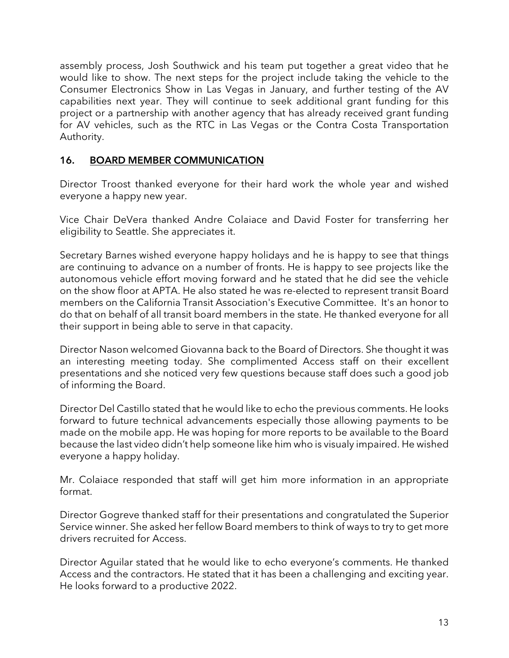assembly process, Josh Southwick and his team put together a great video that he would like to show. The next steps for the project include taking the vehicle to the Consumer Electronics Show in Las Vegas in January, and further testing of the AV capabilities next year. They will continue to seek additional grant funding for this project or a partnership with another agency that has already received grant funding for AV vehicles, such as the RTC in Las Vegas or the Contra Costa Transportation Authority.

#### 16. BOARD MEMBER COMMUNICATION

Director Troost thanked everyone for their hard work the whole year and wished everyone a happy new year.

Vice Chair DeVera thanked Andre Colaiace and David Foster for transferring her eligibility to Seattle. She appreciates it.

Secretary Barnes wished everyone happy holidays and he is happy to see that things are continuing to advance on a number of fronts. He is happy to see projects like the autonomous vehicle effort moving forward and he stated that he did see the vehicle on the show floor at APTA. He also stated he was re-elected to represent transit Board members on the California Transit Association's Executive Committee. It's an honor to do that on behalf of all transit board members in the state. He thanked everyone for all their support in being able to serve in that capacity.

Director Nason welcomed Giovanna back to the Board of Directors. She thought it was an interesting meeting today. She complimented Access staff on their excellent presentations and she noticed very few questions because staff does such a good job of informing the Board.

Director Del Castillo stated that he would like to echo the previous comments. He looks forward to future technical advancements especially those allowing payments to be made on the mobile app. He was hoping for more reports to be available to the Board because the last video didn't help someone like him who is visualy impaired. He wished everyone a happy holiday.

Mr. Colaiace responded that staff will get him more information in an appropriate format.

Director Gogreve thanked staff for their presentations and congratulated the Superior Service winner. She asked her fellow Board members to think of ways to try to get more drivers recruited for Access.

Director Aguilar stated that he would like to echo everyone's comments. He thanked Access and the contractors. He stated that it has been a challenging and exciting year. He looks forward to a productive 2022.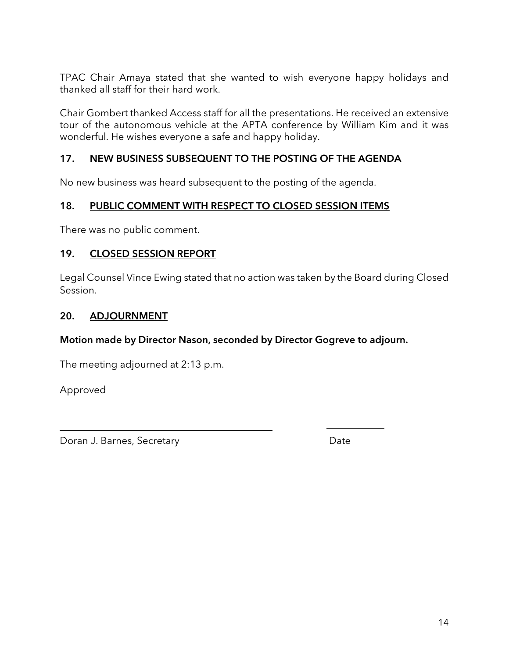TPAC Chair Amaya stated that she wanted to wish everyone happy holidays and thanked all staff for their hard work.

Chair Gombert thanked Access staff for all the presentations. He received an extensive tour of the autonomous vehicle at the APTA conference by William Kim and it was wonderful. He wishes everyone a safe and happy holiday.

#### 17. NEW BUSINESS SUBSEQUENT TO THE POSTING OF THE AGENDA

No new business was heard subsequent to the posting of the agenda.

#### 18. PUBLIC COMMENT WITH RESPECT TO CLOSED SESSION ITEMS

There was no public comment.

#### 19. CLOSED SESSION REPORT

Legal Counsel Vince Ewing stated that no action was taken by the Board during Closed Session.

#### 20. ADJOURNMENT

#### Motion made by Director Nason, seconded by Director Gogreve to adjourn.

The meeting adjourned at 2:13 p.m.

Approved

Doran J. Barnes, Secretary **Date**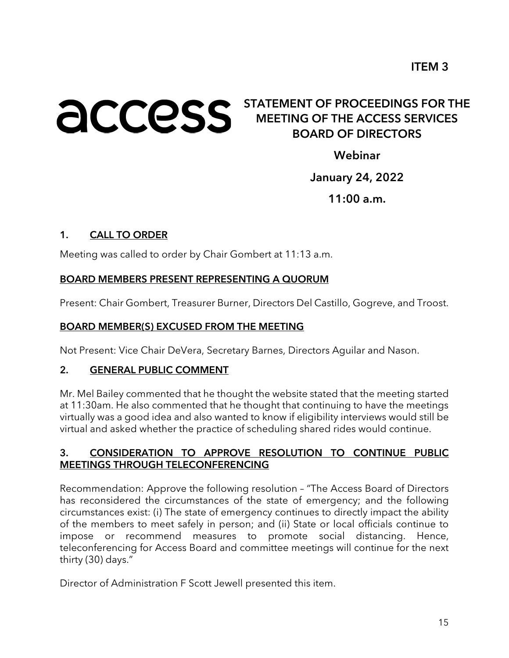# **ACCESS** STATEMENT OF PROCEEDINGS FOR THE MEETING OF THE ACCESS SERVICES BOARD OF DIRECTORS

Webinar

#### January 24, 2022

 $11:00$  a.m.

#### 1. CALL TO ORDER

Meeting was called to order by Chair Gombert at 11:13 a.m.

#### BOARD MEMBERS PRESENT REPRESENTING A QUORUM

Present: Chair Gombert, Treasurer Burner, Directors Del Castillo, Gogreve, and Troost.

#### BOARD MEMBER(S) EXCUSED FROM THE MEETING

Not Present: Vice Chair DeVera, Secretary Barnes, Directors Aguilar and Nason.

#### 2. GENERAL PUBLIC COMMENT

Mr. Mel Bailey commented that he thought the website stated that the meeting started at 11:30am. He also commented that he thought that continuing to have the meetings virtually was a good idea and also wanted to know if eligibility interviews would still be virtual and asked whether the practice of scheduling shared rides would continue.

#### 3. CONSIDERATION TO APPROVE RESOLUTION TO CONTINUE PUBLIC MEETINGS THROUGH TELECONFERENCING

Recommendation: Approve the following resolution – "The Access Board of Directors has reconsidered the circumstances of the state of emergency; and the following circumstances exist: (i) The state of emergency continues to directly impact the ability of the members to meet safely in person; and (ii) State or local officials continue to impose or recommend measures to promote social distancing. Hence, teleconferencing for Access Board and committee meetings will continue for the next thirty (30) days."

Director of Administration F Scott Jewell presented this item.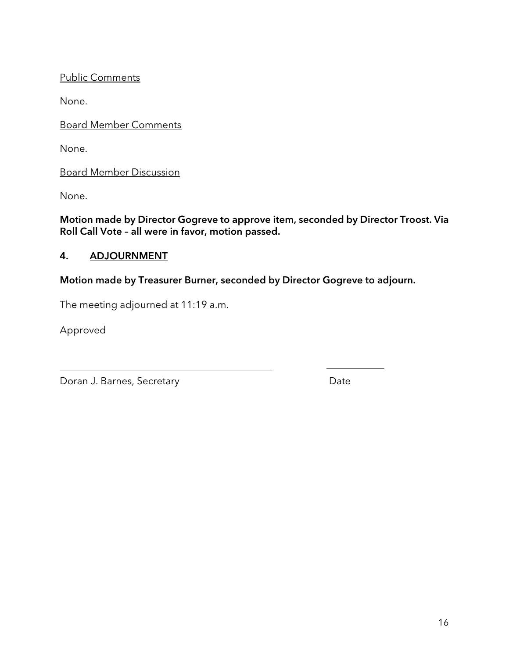Public Comments

None.

Board Member Comments

None.

Board Member Discussion

None.

Motion made by Director Gogreve to approve item, seconded by Director Troost. Via Roll Call Vote – all were in favor, motion passed.

#### 4. ADJOURNMENT

#### Motion made by Treasurer Burner, seconded by Director Gogreve to adjourn.

The meeting adjourned at 11:19 a.m.

Approved

Doran J. Barnes, Secretary **Date** Date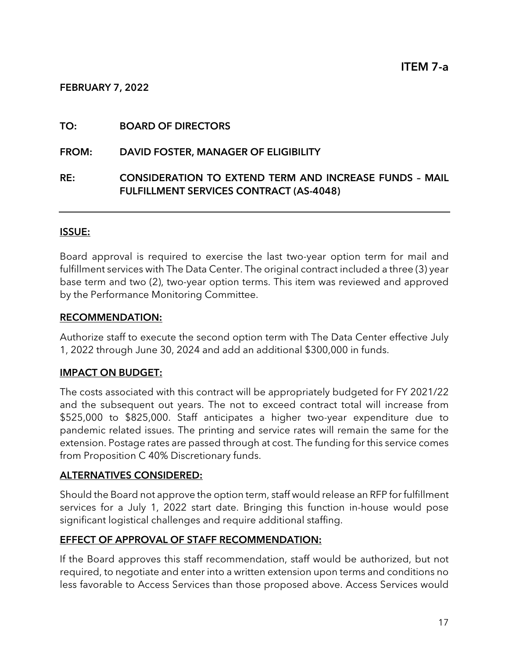#### FEBRUARY 7, 2022

#### TO: BOARD OF DIRECTORS

#### FROM: DAVID FOSTER, MANAGER OF ELIGIBILITY

#### RE: CONSIDERATION TO EXTEND TERM AND INCREASE FUNDS – MAIL FULFILLMENT SERVICES CONTRACT (AS-4048)

#### ISSUE:

Board approval is required to exercise the last two-year option term for mail and fulfillment services with The Data Center. The original contract included a three (3) year base term and two (2), two-year option terms. This item was reviewed and approved by the Performance Monitoring Committee.

#### RECOMMENDATION:

Authorize staff to execute the second option term with The Data Center effective July 1, 2022 through June 30, 2024 and add an additional \$300,000 in funds.

#### IMPACT ON BUDGET:

The costs associated with this contract will be appropriately budgeted for FY 2021/22 and the subsequent out years. The not to exceed contract total will increase from \$525,000 to \$825,000. Staff anticipates a higher two-year expenditure due to pandemic related issues. The printing and service rates will remain the same for the extension. Postage rates are passed through at cost. The funding for this service comes from Proposition C 40% Discretionary funds.

#### ALTERNATIVES CONSIDERED:

Should the Board not approve the option term, staff would release an RFP for fulfillment services for a July 1, 2022 start date. Bringing this function in-house would pose significant logistical challenges and require additional staffing.

#### EFFECT OF APPROVAL OF STAFF RECOMMENDATION:

If the Board approves this staff recommendation, staff would be authorized, but not required, to negotiate and enter into a written extension upon terms and conditions no less favorable to Access Services than those proposed above. Access Services would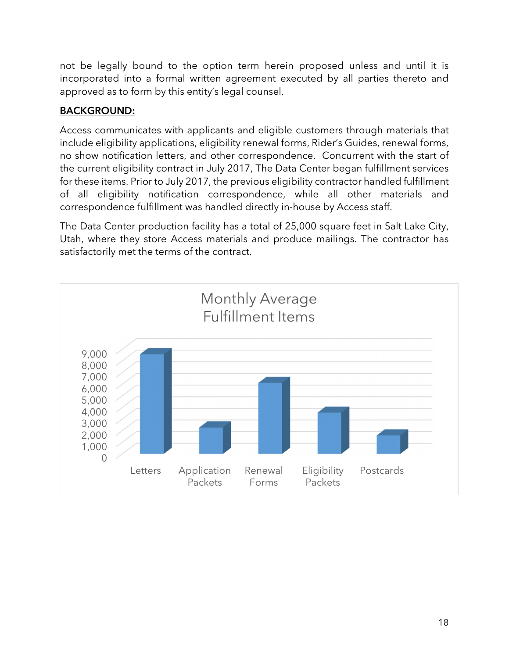not be legally bound to the option term herein proposed unless and until it is incorporated into a formal written agreement executed by all parties thereto and approved as to form by this entity's legal counsel.

#### BACKGROUND:

Access communicates with applicants and eligible customers through materials that include eligibility applications, eligibility renewal forms, Rider's Guides, renewal forms, no show notification letters, and other correspondence. Concurrent with the start of the current eligibility contract in July 2017, The Data Center began fulfillment services for these items. Prior to July 2017, the previous eligibility contractor handled fulfillment of all eligibility notification correspondence, while all other materials and correspondence fulfillment was handled directly in-house by Access staff.

The Data Center production facility has a total of 25,000 square feet in Salt Lake City, Utah, where they store Access materials and produce mailings. The contractor has satisfactorily met the terms of the contract.

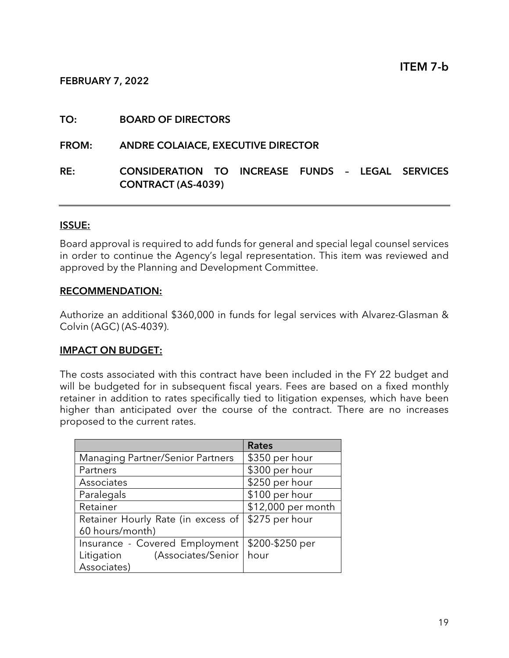#### FEBRUARY 7, 2022

#### TO: BOARD OF DIRECTORS

#### FROM: ANDRE COLAIACE, EXECUTIVE DIRECTOR

#### RE: CONSIDERATION TO INCREASE FUNDS – LEGAL SERVICES CONTRACT (AS-4039)

#### ISSUE:

Board approval is required to add funds for general and special legal counsel services in order to continue the Agency's legal representation. This item was reviewed and approved by the Planning and Development Committee.

#### RECOMMENDATION:

Authorize an additional \$360,000 in funds for legal services with Alvarez-Glasman & Colvin (AGC) (AS-4039).

#### IMPACT ON BUDGET:

The costs associated with this contract have been included in the FY 22 budget and will be budgeted for in subsequent fiscal years. Fees are based on a fixed monthly retainer in addition to rates specifically tied to litigation expenses, which have been higher than anticipated over the course of the contract. There are no increases proposed to the current rates.

|                                         | <b>Rates</b>       |
|-----------------------------------------|--------------------|
| <b>Managing Partner/Senior Partners</b> | \$350 per hour     |
| Partners                                | \$300 per hour     |
| Associates                              | \$250 per hour     |
| Paralegals                              | \$100 per hour     |
| Retainer                                | \$12,000 per month |
| Retainer Hourly Rate (in excess of      | \$275 per hour     |
| 60 hours/month)                         |                    |
| Insurance - Covered Employment          | \$200-\$250 per    |
| (Associates/Senior<br>Litigation        | hour               |
| Associates)                             |                    |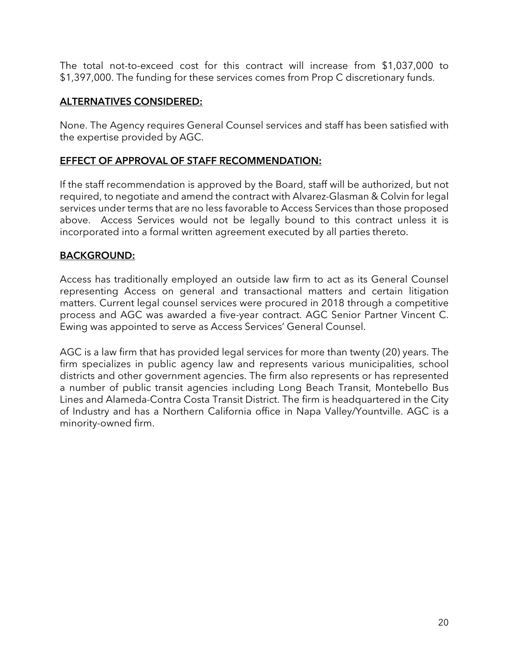The total not-to-exceed cost for this contract will increase from \$1,037,000 to \$1,397,000. The funding for these services comes from Prop C discretionary funds.

#### ALTERNATIVES CONSIDERED:

None. The Agency requires General Counsel services and staff has been satisfied with the expertise provided by AGC.

#### EFFECT OF APPROVAL OF STAFF RECOMMENDATION:

If the staff recommendation is approved by the Board, staff will be authorized, but not required, to negotiate and amend the contract with Alvarez-Glasman & Colvin for legal services under terms that are no less favorable to Access Services than those proposed above. Access Services would not be legally bound to this contract unless it is incorporated into a formal written agreement executed by all parties thereto.

#### BACKGROUND:

Access has traditionally employed an outside law firm to act as its General Counsel representing Access on general and transactional matters and certain litigation matters. Current legal counsel services were procured in 2018 through a competitive process and AGC was awarded a five-year contract. AGC Senior Partner Vincent C. Ewing was appointed to serve as Access Services' General Counsel.

AGC is a law firm that has provided legal services for more than twenty (20) years. The firm specializes in public agency law and represents various municipalities, school districts and other government agencies. The firm also represents or has represented a number of public transit agencies including Long Beach Transit, Montebello Bus Lines and Alameda-Contra Costa Transit District. The firm is headquartered in the City of Industry and has a Northern California office in Napa Valley/Yountville. AGC is a minority-owned firm.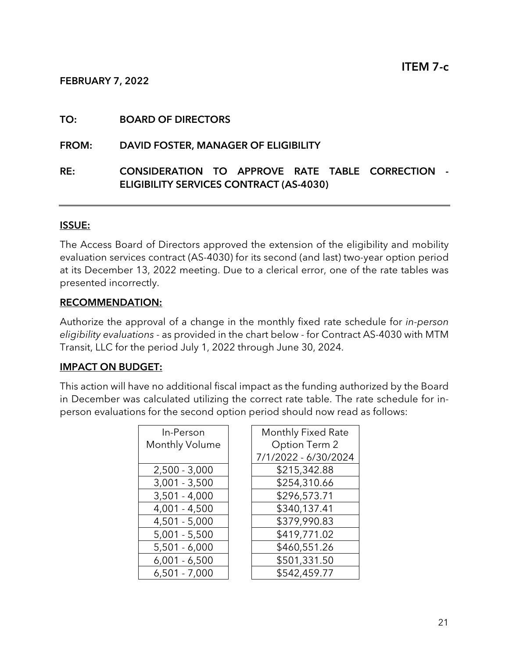#### FEBRUARY 7, 2022

#### TO: BOARD OF DIRECTORS

FROM: DAVID FOSTER, MANAGER OF ELIGIBILITY

#### RE: CONSIDERATION TO APPROVE RATE TABLE CORRECTION - ELIGIBILITY SERVICES CONTRACT (AS-4030)

#### ISSUE:

The Access Board of Directors approved the extension of the eligibility and mobility evaluation services contract (AS-4030) for its second (and last) two-year option period at its December 13, 2022 meeting. Due to a clerical error, one of the rate tables was presented incorrectly.

#### RECOMMENDATION:

Authorize the approval of a change in the monthly fixed rate schedule for in-person eligibility evaluations - as provided in the chart below - for Contract AS-4030 with MTM Transit, LLC for the period July 1, 2022 through June 30, 2024.

#### IMPACT ON BUDGET:

This action will have no additional fiscal impact as the funding authorized by the Board in December was calculated utilizing the correct rate table. The rate schedule for inperson evaluations for the second option period should now read as follows:

| In-Person       | Monthly Fixed Rat  |
|-----------------|--------------------|
| Monthly Volume  | Option Term 2      |
|                 | 7/1/2022 - 6/30/20 |
| $2,500 - 3,000$ | \$215,342.88       |
| $3,001 - 3,500$ | \$254,310.66       |
| $3,501 - 4,000$ | \$296,573.71       |
| $4,001 - 4,500$ | \$340,137.41       |
| $4,501 - 5,000$ | \$379,990.83       |
| $5,001 - 5,500$ | \$419,771.02       |
| $5,501 - 6,000$ | \$460,551.26       |
| $6,001 - 6,500$ | \$501,331.50       |
| $6,501 - 7,000$ | \$542,459.77       |

| In-Person       | Monthly Fixed Rate   |
|-----------------|----------------------|
| Ionthly Volume  | Option Term 2        |
|                 | 7/1/2022 - 6/30/2024 |
| 2,500 - 3,000   | \$215,342.88         |
| $3,001 - 3,500$ | \$254,310.66         |
| $3,501 - 4,000$ | \$296,573.71         |
| 4,001 - 4,500   | \$340,137.41         |
| 4,501 - 5,000   | \$379,990.83         |
| $5,001 - 5,500$ | \$419,771.02         |
| 5,501 - 6,000   | \$460,551.26         |
| $6,001 - 6,500$ | \$501,331.50         |
| 6,501 - 7,000   | \$542,459.77         |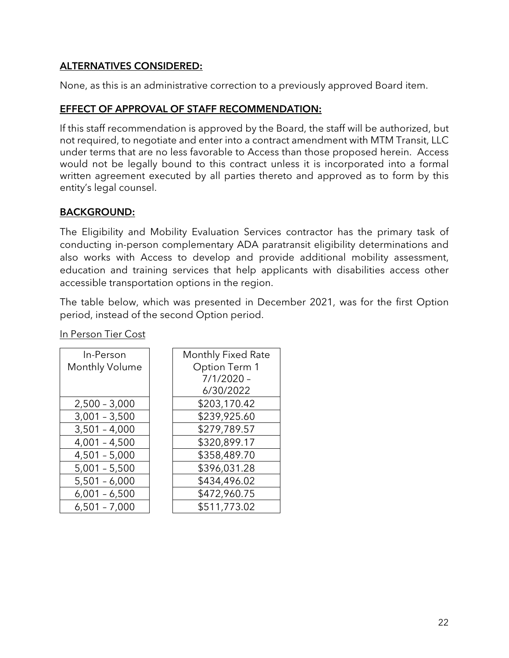#### ALTERNATIVES CONSIDERED:

None, as this is an administrative correction to a previously approved Board item.

#### EFFECT OF APPROVAL OF STAFF RECOMMENDATION:

If this staff recommendation is approved by the Board, the staff will be authorized, but not required, to negotiate and enter into a contract amendment with MTM Transit, LLC under terms that are no less favorable to Access than those proposed herein. Access would not be legally bound to this contract unless it is incorporated into a formal written agreement executed by all parties thereto and approved as to form by this entity's legal counsel.

#### BACKGROUND:

The Eligibility and Mobility Evaluation Services contractor has the primary task of conducting in-person complementary ADA paratransit eligibility determinations and also works with Access to develop and provide additional mobility assessment, education and training services that help applicants with disabilities access other accessible transportation options in the region.

The table below, which was presented in December 2021, was for the first Option period, instead of the second Option period.

| In-Person       |  |
|-----------------|--|
| Monthly Volume  |  |
|                 |  |
|                 |  |
| $2,500 - 3,000$ |  |
| $3,001 - 3,500$ |  |
| $3,501 - 4,000$ |  |
| $4,001 - 4,500$ |  |
| $4,501 - 5,000$ |  |
| $5,001 - 5,500$ |  |
| $5,501 - 6,000$ |  |
| $6,001 - 6,500$ |  |
| $6,501 - 7,000$ |  |

| In-Person       | Monthly Fixed Rate |
|-----------------|--------------------|
| Monthly Volume  | Option Term 1      |
|                 | $7/1/2020 -$       |
|                 | 6/30/2022          |
| $2,500 - 3,000$ | \$203,170.42       |
| $3,001 - 3,500$ | \$239,925.60       |
| $3,501 - 4,000$ | \$279,789.57       |
| $4,001 - 4,500$ | \$320,899.17       |
| $4,501 - 5,000$ | \$358,489.70       |
| $5,001 - 5,500$ | \$396,031.28       |
| $5,501 - 6,000$ | \$434,496.02       |

\$472,960.75 \$511,773.02

In Person Tier Cost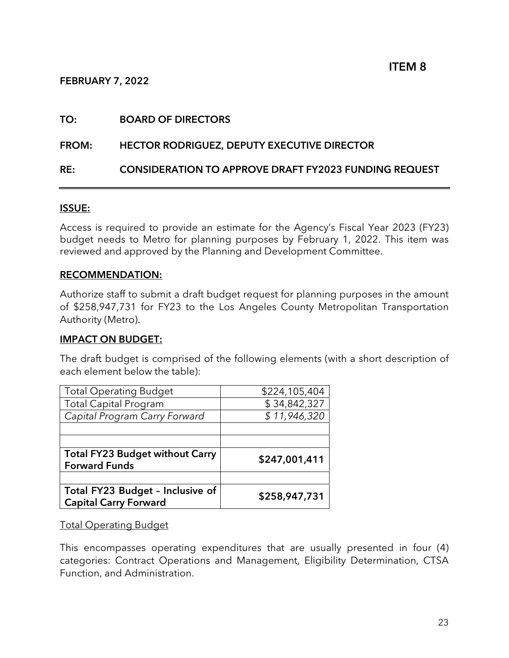#### FEBRUARY 7, 2022

#### TO: BOARD OF DIRECTORS

#### FROM: HECTOR RODRIGUEZ, DEPUTY EXECUTIVE DIRECTOR

#### RE: CONSIDERATION TO APPROVE DRAFT FY2023 FUNDING REQUEST

#### ISSUE:

Access is required to provide an estimate for the Agency's Fiscal Year 2023 (FY23) budget needs to Metro for planning purposes by February 1, 2022. This item was reviewed and approved by the Planning and Development Committee.

#### RECOMMENDATION:

Authorize staff to submit a draft budget request for planning purposes in the amount of \$258,947,731 for FY23 to the Los Angeles County Metropolitan Transportation Authority (Metro).

#### IMPACT ON BUDGET:

The draft budget is comprised of the following elements (with a short description of each element below the table):

| <b>Total Operating Budget</b>                                  | \$224,105,404 |
|----------------------------------------------------------------|---------------|
| <b>Total Capital Program</b>                                   | \$34,842,327  |
| Capital Program Carry Forward                                  | \$11,946,320  |
|                                                                |               |
|                                                                |               |
|                                                                |               |
| <b>Total FY23 Budget without Carry</b><br><b>Forward Funds</b> | \$247,001,411 |
|                                                                |               |

Total Operating Budget

This encompasses operating expenditures that are usually presented in four (4) categories: Contract Operations and Management, Eligibility Determination, CTSA Function, and Administration.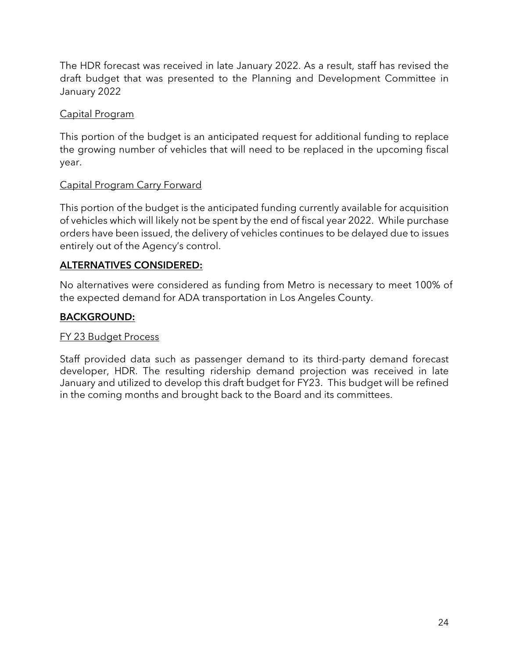The HDR forecast was received in late January 2022. As a result, staff has revised the draft budget that was presented to the Planning and Development Committee in January 2022

#### Capital Program

This portion of the budget is an anticipated request for additional funding to replace the growing number of vehicles that will need to be replaced in the upcoming fiscal year.

#### Capital Program Carry Forward

This portion of the budget is the anticipated funding currently available for acquisition of vehicles which will likely not be spent by the end of fiscal year 2022. While purchase orders have been issued, the delivery of vehicles continues to be delayed due to issues entirely out of the Agency's control.

#### ALTERNATIVES CONSIDERED:

No alternatives were considered as funding from Metro is necessary to meet 100% of the expected demand for ADA transportation in Los Angeles County.

#### BACKGROUND:

#### FY 23 Budget Process

Staff provided data such as passenger demand to its third-party demand forecast developer, HDR. The resulting ridership demand projection was received in late January and utilized to develop this draft budget for FY23. This budget will be refined in the coming months and brought back to the Board and its committees.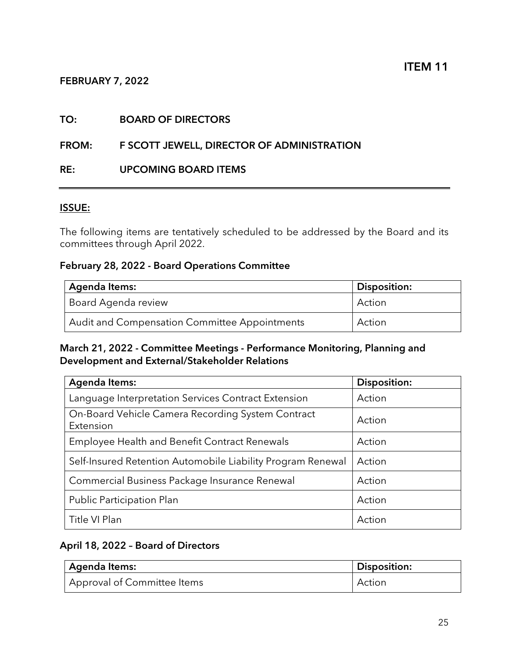#### FEBRUARY 7, 2022

#### TO: BOARD OF DIRECTORS

#### FROM: F SCOTT JEWELL, DIRECTOR OF ADMINISTRATION

#### RE: UPCOMING BOARD ITEMS

#### ISSUE:

The following items are tentatively scheduled to be addressed by the Board and its committees through April 2022.

#### February 28, 2022 - Board Operations Committee

| Agenda Items:                                 | <b>Disposition:</b> |
|-----------------------------------------------|---------------------|
| <sup>I</sup> Board Agenda review              | Action              |
| Audit and Compensation Committee Appointments | Action              |

#### March 21, 2022 - Committee Meetings - Performance Monitoring, Planning and Development and External/Stakeholder Relations

| <b>Agenda Items:</b>                                           | Disposition: |
|----------------------------------------------------------------|--------------|
| Language Interpretation Services Contract Extension            | Action       |
| On-Board Vehicle Camera Recording System Contract<br>Extension | Action       |
| <b>Employee Health and Benefit Contract Renewals</b>           | Action       |
| Self-Insured Retention Automobile Liability Program Renewal    | Action       |
| Commercial Business Package Insurance Renewal                  | Action       |
| Public Participation Plan                                      | Action       |
| Title VI Plan                                                  | Action       |

### April 18, 2022 – Board of Directors

| Agenda Items:               | Disposition: |
|-----------------------------|--------------|
| Approval of Committee Items | Action       |